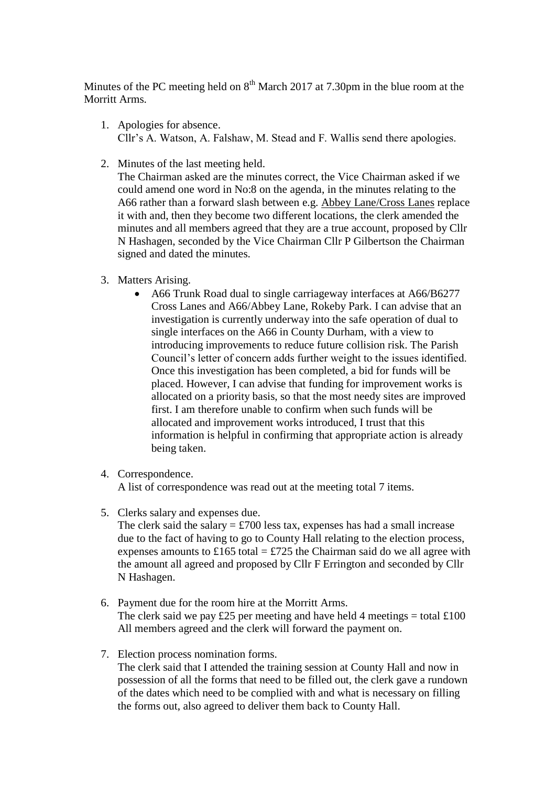Minutes of the PC meeting held on  $8<sup>th</sup>$  March 2017 at 7.30pm in the blue room at the Morritt Arms.

- 1. Apologies for absence. Cllr's A. Watson, A. Falshaw, M. Stead and F. Wallis send there apologies.
- 2. Minutes of the last meeting held.

The Chairman asked are the minutes correct, the Vice Chairman asked if we could amend one word in No:8 on the agenda, in the minutes relating to the A66 rather than a forward slash between e.g. Abbey Lane/Cross Lanes replace it with and, then they become two different locations, the clerk amended the minutes and all members agreed that they are a true account, proposed by Cllr N Hashagen, seconded by the Vice Chairman Cllr P Gilbertson the Chairman signed and dated the minutes.

- 3. Matters Arising.
	- A66 Trunk Road dual to single carriageway interfaces at A66/B6277 Cross Lanes and A66/Abbey Lane, Rokeby Park. I can advise that an investigation is currently underway into the safe operation of dual to single interfaces on the A66 in County Durham, with a view to introducing improvements to reduce future collision risk. The Parish Council's letter of concern adds further weight to the issues identified. Once this investigation has been completed, a bid for funds will be placed. However, I can advise that funding for improvement works is allocated on a priority basis, so that the most needy sites are improved first. I am therefore unable to confirm when such funds will be allocated and improvement works introduced, I trust that this information is helpful in confirming that appropriate action is already being taken.
- 4. Correspondence.

A list of correspondence was read out at the meeting total 7 items.

5. Clerks salary and expenses due.

The clerk said the salary  $= \text{\textsterling}700$  less tax, expenses has had a small increase due to the fact of having to go to County Hall relating to the election process, expenses amounts to £165 total = £725 the Chairman said do we all agree with the amount all agreed and proposed by Cllr F Errington and seconded by Cllr N Hashagen.

- 6. Payment due for the room hire at the Morritt Arms. The clerk said we pay £25 per meeting and have held 4 meetings = total  $\pounds$ 100 All members agreed and the clerk will forward the payment on.
- 7. Election process nomination forms. The clerk said that I attended the training session at County Hall and now in possession of all the forms that need to be filled out, the clerk gave a rundown of the dates which need to be complied with and what is necessary on filling the forms out, also agreed to deliver them back to County Hall.